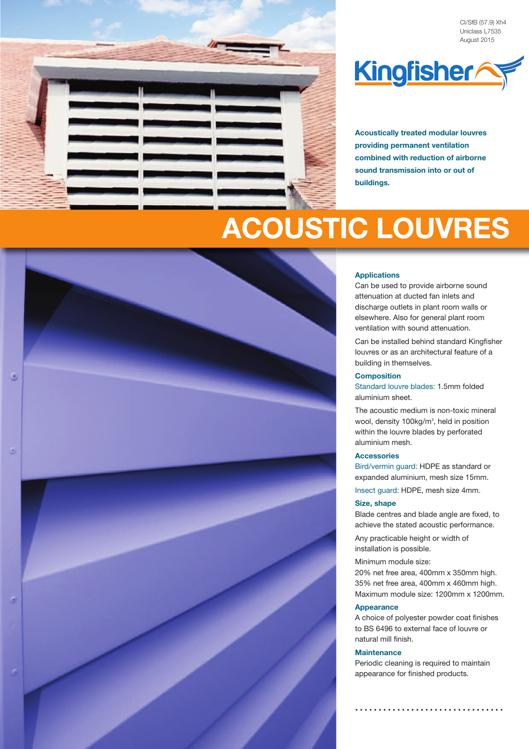





**Acoustically treated modular louvres providing permanent ventilation combined with reduction of airborne sound transmission into or out of buildings.**

# **ACOUSTIC LOUVRES**



Can be used to provide airborne sound attenuation at ducted fan inlets and discharge outlets in plant room walls or elsewhere. Also for general plant room ventilation with sound attenuation.

Can be installed behind standard Kingfisher louvres or as an architectural feature of a building in themselves.

#### **Composition**

Standard louvre blades: 1.5mm folded aluminium sheet.

The acoustic medium is non-toxic mineral wool, density 100kg/m<sup>3</sup>, held in position within the louvre blades by perforated aluminium mesh.

#### **Accessories**

Bird/vermin guard: HDPE as standard or expanded aluminium, mesh size 15mm. Insect guard: HDPE, mesh size 4mm.

#### **Size, shape**

Blade centres and blade angle are fixed, to achieve the stated acoustic performance.

Any practicable height or width of installation is possible.

#### Minimum module size:

20% net free area, 400mm x 350mm high. 35% net free area, 400mm x 460mm high. Maximum module size: 1200mm x 1200mm.

### **Appearance**

A choice of polyester powder coat finishes to BS 6496 to external face of louvre or natural mill finish.

### **Maintenance**

Periodic cleaning is required to maintain appearance for finished products.

**. . . . . . . . . . . . . . . . . . . . . . . . . . . . . . . .**